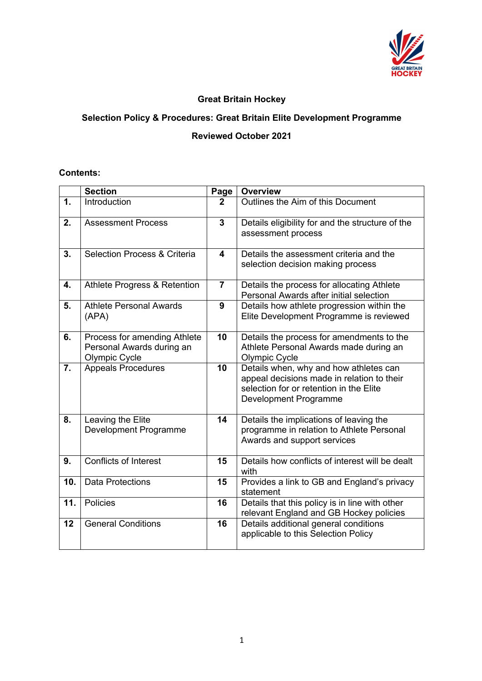

## **Great Britain Hockey**

## **Selection Policy & Procedures: Great Britain Elite Development Programme**

## **Reviewed October 2021**

## **Contents:**

|                  | <b>Section</b>                                                                    | Page                    | <b>Overview</b>                                                                                                                                          |
|------------------|-----------------------------------------------------------------------------------|-------------------------|----------------------------------------------------------------------------------------------------------------------------------------------------------|
| 1.               | Introduction                                                                      | $\overline{2}$          | Outlines the Aim of this Document                                                                                                                        |
| 2.               | <b>Assessment Process</b>                                                         | $\overline{3}$          | Details eligibility for and the structure of the<br>assessment process                                                                                   |
| 3.               | Selection Process & Criteria                                                      | $\overline{\mathbf{4}}$ | Details the assessment criteria and the<br>selection decision making process                                                                             |
| 4.               | Athlete Progress & Retention                                                      | $\overline{7}$          | Details the process for allocating Athlete<br>Personal Awards after initial selection                                                                    |
| 5.               | <b>Athlete Personal Awards</b><br>(APA)                                           | 9                       | Details how athlete progression within the<br>Elite Development Programme is reviewed                                                                    |
| 6.               | Process for amending Athlete<br>Personal Awards during an<br><b>Olympic Cycle</b> | 10                      | Details the process for amendments to the<br>Athlete Personal Awards made during an<br>Olympic Cycle                                                     |
| $\overline{7}$ . | <b>Appeals Procedures</b>                                                         | 10                      | Details when, why and how athletes can<br>appeal decisions made in relation to their<br>selection for or retention in the Elite<br>Development Programme |
| 8.               | Leaving the Elite<br>Development Programme                                        | 14                      | Details the implications of leaving the<br>programme in relation to Athlete Personal<br>Awards and support services                                      |
| 9.               | <b>Conflicts of Interest</b>                                                      | 15                      | Details how conflicts of interest will be dealt<br>with                                                                                                  |
| 10.              | <b>Data Protections</b>                                                           | 15                      | Provides a link to GB and England's privacy<br>statement                                                                                                 |
| 11.              | <b>Policies</b>                                                                   | 16                      | Details that this policy is in line with other<br>relevant England and GB Hockey policies                                                                |
| 12               | <b>General Conditions</b>                                                         | $\overline{16}$         | Details additional general conditions<br>applicable to this Selection Policy                                                                             |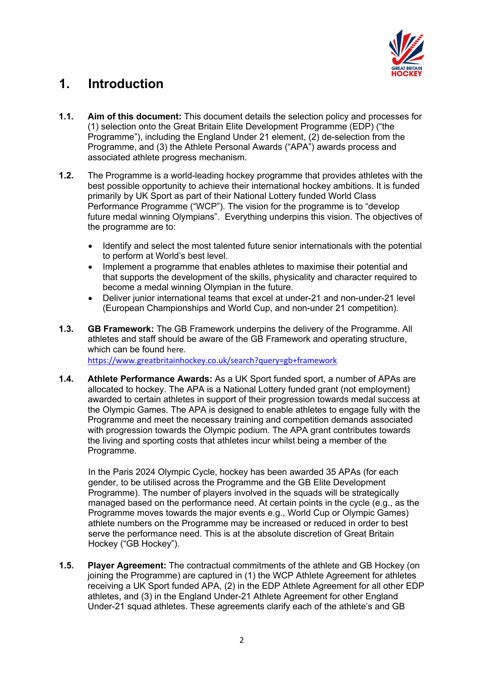

# **1. Introduction**

- **1.1. Aim of this document:** This document details the selection policy and processes for (1) selection onto the Great Britain Elite Development Programme (EDP) ("the Programme"), including the England Under 21 element, (2) de-selection from the Programme, and (3) the Athlete Personal Awards ("APA") awards process and associated athlete progress mechanism.
- **1.2.** The Programme is a world-leading hockey programme that provides athletes with the best possible opportunity to achieve their international hockey ambitions. It is funded primarily by UK Sport as part of their National Lottery funded World Class Performance Programme ("WCP"). The vision for the programme is to "develop future medal winning Olympians". Everything underpins this vision. The objectives of the programme are to:
	- Identify and select the most talented future senior internationals with the potential to perform at World's best level.
	- Implement a programme that enables athletes to maximise their potential and that supports the development of the skills, physicality and character required to become a medal winning Olympian in the future.
	- Deliver junior international teams that excel at under-21 and non-under-21 level (European Championships and World Cup, and non-under 21 competition).
- **1.3. GB Framework:** The GB Framework underpins the delivery of the Programme. All athletes and staff should be aware of the GB Framework and operating structure, which can be found here.

https://www.greatbritainhockey.co.uk/search?query=gb+framework

**1.4. Athlete Performance Awards:** As a UK Sport funded sport, a number of APAs are allocated to hockey. The APA is a National Lottery funded grant (not employment) awarded to certain athletes in support of their progression towards medal success at the Olympic Games. The APA is designed to enable athletes to engage fully with the Programme and meet the necessary training and competition demands associated with progression towards the Olympic podium. The APA grant contributes towards the living and sporting costs that athletes incur whilst being a member of the Programme.

In the Paris 2024 Olympic Cycle, hockey has been awarded 35 APAs (for each gender, to be utilised across the Programme and the GB Elite Development Programme). The number of players involved in the squads will be strategically managed based on the performance need. At certain points in the cycle (e.g., as the Programme moves towards the major events e.g., World Cup or Olympic Games) athlete numbers on the Programme may be increased or reduced in order to best serve the performance need. This is at the absolute discretion of Great Britain Hockey ("GB Hockey").

**1.5. Player Agreement:** The contractual commitments of the athlete and GB Hockey (on joining the Programme) are captured in (1) the WCP Athlete Agreement for athletes receiving a UK Sport funded APA, (2) in the EDP Athlete Agreement for all other EDP athletes, and (3) in the England Under-21 Athlete Agreement for other England Under-21 squad athletes. These agreements clarify each of the athlete's and GB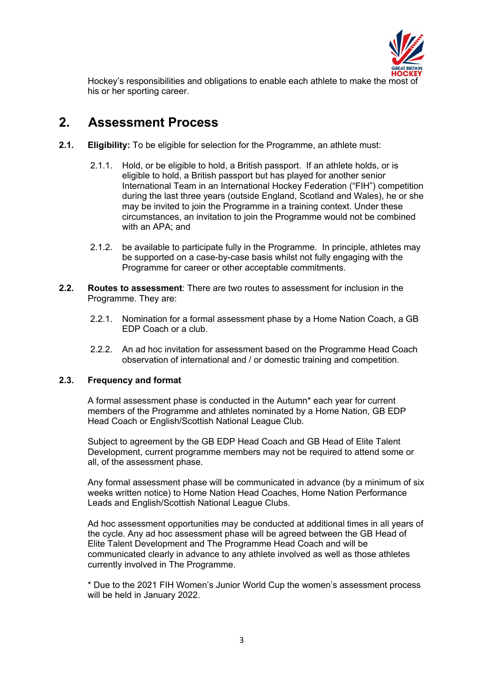

Hockey's responsibilities and obligations to enable each athlete to make the most of his or her sporting career.

## **2. Assessment Process**

- **2.1. Eligibility:** To be eligible for selection for the Programme, an athlete must:
	- 2.1.1. Hold, or be eligible to hold, a British passport. If an athlete holds, or is eligible to hold, a British passport but has played for another senior International Team in an International Hockey Federation ("FIH") competition during the last three years (outside England, Scotland and Wales), he or she may be invited to join the Programme in a training context. Under these circumstances, an invitation to join the Programme would not be combined with an APA; and
	- 2.1.2. be available to participate fully in the Programme. In principle, athletes may be supported on a case-by-case basis whilst not fully engaging with the Programme for career or other acceptable commitments.
- **2.2. Routes to assessment**: There are two routes to assessment for inclusion in the Programme. They are:
	- 2.2.1. Nomination for a formal assessment phase by a Home Nation Coach, a GB EDP Coach or a club.
	- 2.2.2. An ad hoc invitation for assessment based on the Programme Head Coach observation of international and / or domestic training and competition.

## **2.3. Frequency and format**

A formal assessment phase is conducted in the Autumn\* each year for current members of the Programme and athletes nominated by a Home Nation, GB EDP Head Coach or English/Scottish National League Club.

Subject to agreement by the GB EDP Head Coach and GB Head of Elite Talent Development, current programme members may not be required to attend some or all, of the assessment phase.

Any formal assessment phase will be communicated in advance (by a minimum of six weeks written notice) to Home Nation Head Coaches, Home Nation Performance Leads and English/Scottish National League Clubs.

Ad hoc assessment opportunities may be conducted at additional times in all years of the cycle. Any ad hoc assessment phase will be agreed between the GB Head of Elite Talent Development and The Programme Head Coach and will be communicated clearly in advance to any athlete involved as well as those athletes currently involved in The Programme.

\* Due to the 2021 FIH Women's Junior World Cup the women's assessment process will be held in January 2022.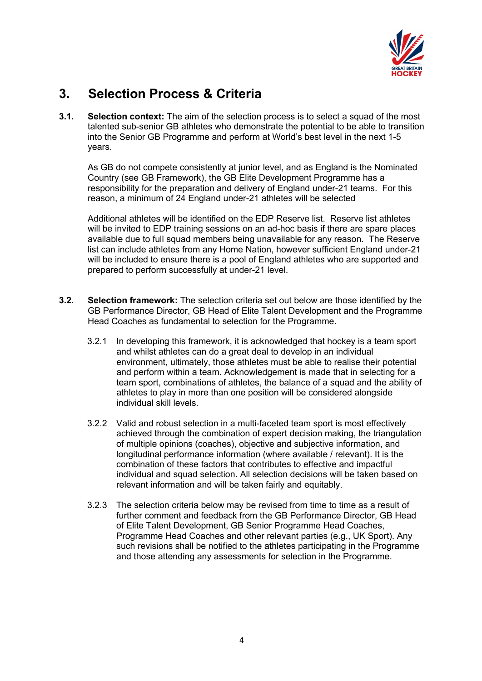

## **3. Selection Process & Criteria**

**3.1. Selection context:** The aim of the selection process is to select a squad of the most talented sub-senior GB athletes who demonstrate the potential to be able to transition into the Senior GB Programme and perform at World's best level in the next 1-5 years.

As GB do not compete consistently at junior level, and as England is the Nominated Country (see GB Framework), the GB Elite Development Programme has a responsibility for the preparation and delivery of England under-21 teams. For this reason, a minimum of 24 England under-21 athletes will be selected

Additional athletes will be identified on the EDP Reserve list. Reserve list athletes will be invited to EDP training sessions on an ad-hoc basis if there are spare places available due to full squad members being unavailable for any reason. The Reserve list can include athletes from any Home Nation, however sufficient England under-21 will be included to ensure there is a pool of England athletes who are supported and prepared to perform successfully at under-21 level.

- **3.2. Selection framework:** The selection criteria set out below are those identified by the GB Performance Director, GB Head of Elite Talent Development and the Programme Head Coaches as fundamental to selection for the Programme.
	- 3.2.1 In developing this framework, it is acknowledged that hockey is a team sport and whilst athletes can do a great deal to develop in an individual environment, ultimately, those athletes must be able to realise their potential and perform within a team. Acknowledgement is made that in selecting for a team sport, combinations of athletes, the balance of a squad and the ability of athletes to play in more than one position will be considered alongside individual skill levels.
	- 3.2.2 Valid and robust selection in a multi-faceted team sport is most effectively achieved through the combination of expert decision making, the triangulation of multiple opinions (coaches), objective and subjective information, and longitudinal performance information (where available / relevant). It is the combination of these factors that contributes to effective and impactful individual and squad selection. All selection decisions will be taken based on relevant information and will be taken fairly and equitably.
	- 3.2.3 The selection criteria below may be revised from time to time as a result of further comment and feedback from the GB Performance Director, GB Head of Elite Talent Development, GB Senior Programme Head Coaches, Programme Head Coaches and other relevant parties (e.g., UK Sport). Any such revisions shall be notified to the athletes participating in the Programme and those attending any assessments for selection in the Programme.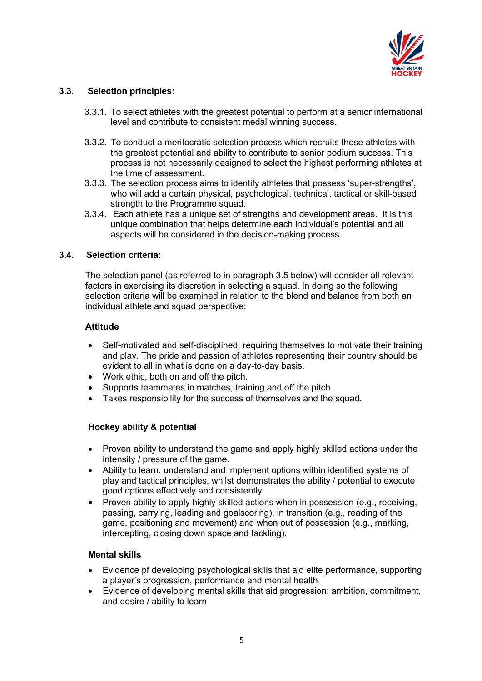

## **3.3. Selection principles:**

- 3.3.1. To select athletes with the greatest potential to perform at a senior international level and contribute to consistent medal winning success.
- 3.3.2. To conduct a meritocratic selection process which recruits those athletes with the greatest potential and ability to contribute to senior podium success. This process is not necessarily designed to select the highest performing athletes at the time of assessment.
- 3.3.3. The selection process aims to identify athletes that possess 'super-strengths', who will add a certain physical, psychological, technical, tactical or skill-based strength to the Programme squad.
- 3.3.4. Each athlete has a unique set of strengths and development areas. It is this unique combination that helps determine each individual's potential and all aspects will be considered in the decision-making process.

#### **3.4. Selection criteria:**

The selection panel (as referred to in paragraph 3.5 below) will consider all relevant factors in exercising its discretion in selecting a squad. In doing so the following selection criteria will be examined in relation to the blend and balance from both an individual athlete and squad perspective:

#### **Attitude**

- Self-motivated and self-disciplined, requiring themselves to motivate their training and play. The pride and passion of athletes representing their country should be evident to all in what is done on a day-to-day basis.
- Work ethic, both on and off the pitch.
- Supports teammates in matches, training and off the pitch.
- Takes responsibility for the success of themselves and the squad.

## **Hockey ability & potential**

- Proven ability to understand the game and apply highly skilled actions under the intensity / pressure of the game.
- Ability to learn, understand and implement options within identified systems of play and tactical principles, whilst demonstrates the ability / potential to execute good options effectively and consistently.
- Proven ability to apply highly skilled actions when in possession (e.g., receiving, passing, carrying, leading and goalscoring), in transition (e.g., reading of the game, positioning and movement) and when out of possession (e.g., marking, intercepting, closing down space and tackling).

#### **Mental skills**

- Evidence pf developing psychological skills that aid elite performance, supporting a player's progression, performance and mental health
- Evidence of developing mental skills that aid progression: ambition, commitment, and desire / ability to learn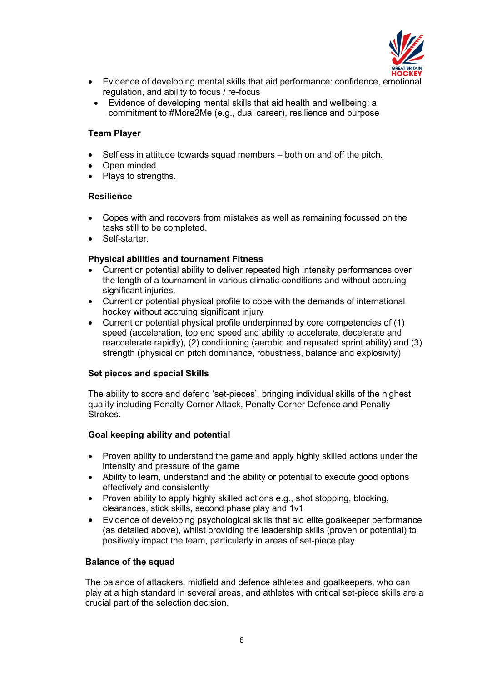

- Evidence of developing mental skills that aid performance: confidence, emotional regulation, and ability to focus / re-focus
- Evidence of developing mental skills that aid health and wellbeing: a commitment to #More2Me (e.g., dual career), resilience and purpose

## **Team Player**

- Selfless in attitude towards squad members both on and off the pitch.
- Open minded.
- Plays to strengths.

## **Resilience**

- Copes with and recovers from mistakes as well as remaining focussed on the tasks still to be completed.
- Self-starter.

## **Physical abilities and tournament Fitness**

- Current or potential ability to deliver repeated high intensity performances over the length of a tournament in various climatic conditions and without accruing significant injuries.
- Current or potential physical profile to cope with the demands of international hockey without accruing significant injury
- Current or potential physical profile underpinned by core competencies of (1) speed (acceleration, top end speed and ability to accelerate, decelerate and reaccelerate rapidly), (2) conditioning (aerobic and repeated sprint ability) and (3) strength (physical on pitch dominance, robustness, balance and explosivity)

## **Set pieces and special Skills**

The ability to score and defend 'set-pieces', bringing individual skills of the highest quality including Penalty Corner Attack, Penalty Corner Defence and Penalty Strokes.

## **Goal keeping ability and potential**

- Proven ability to understand the game and apply highly skilled actions under the intensity and pressure of the game
- Ability to learn, understand and the ability or potential to execute good options effectively and consistently
- Proven ability to apply highly skilled actions e.g., shot stopping, blocking, clearances, stick skills, second phase play and 1v1
- Evidence of developing psychological skills that aid elite goalkeeper performance (as detailed above), whilst providing the leadership skills (proven or potential) to positively impact the team, particularly in areas of set-piece play

## **Balance of the squad**

The balance of attackers, midfield and defence athletes and goalkeepers, who can play at a high standard in several areas, and athletes with critical set-piece skills are a crucial part of the selection decision.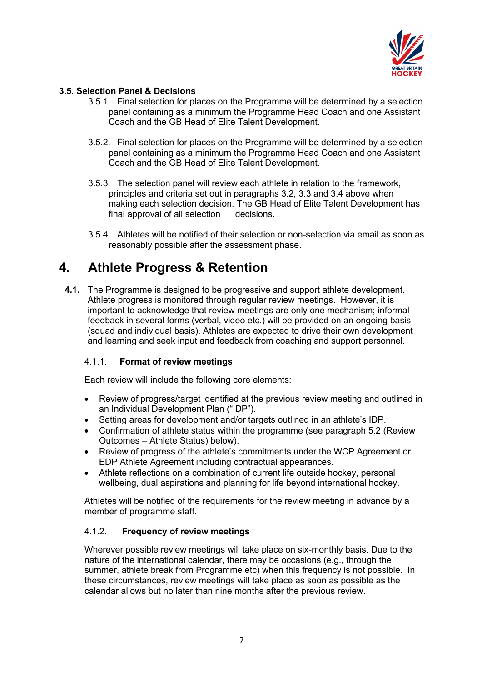

## **3.5. Selection Panel & Decisions**

- 3.5.1. Final selection for places on the Programme will be determined by a selection panel containing as a minimum the Programme Head Coach and one Assistant Coach and the GB Head of Elite Talent Development.
- 3.5.2. Final selection for places on the Programme will be determined by a selection panel containing as a minimum the Programme Head Coach and one Assistant Coach and the GB Head of Elite Talent Development.
- 3.5.3. The selection panel will review each athlete in relation to the framework, principles and criteria set out in paragraphs 3.2, 3.3 and 3.4 above when making each selection decision. The GB Head of Elite Talent Development has final approval of all selection decisions.
- 3.5.4. Athletes will be notified of their selection or non-selection via email as soon as reasonably possible after the assessment phase.

## **4. Athlete Progress & Retention**

**4.1.** The Programme is designed to be progressive and support athlete development. Athlete progress is monitored through regular review meetings. However, it is important to acknowledge that review meetings are only one mechanism; informal feedback in several forms (verbal, video etc.) will be provided on an ongoing basis (squad and individual basis). Athletes are expected to drive their own development and learning and seek input and feedback from coaching and support personnel.

## 4.1.1. **Format of review meetings**

Each review will include the following core elements:

- Review of progress/target identified at the previous review meeting and outlined in an Individual Development Plan ("IDP").
- Setting areas for development and/or targets outlined in an athlete's IDP.
- Confirmation of athlete status within the programme (see paragraph 5.2 (Review Outcomes – Athlete Status) below).
- Review of progress of the athlete's commitments under the WCP Agreement or EDP Athlete Agreement including contractual appearances.
- Athlete reflections on a combination of current life outside hockey, personal wellbeing, dual aspirations and planning for life beyond international hockey.

Athletes will be notified of the requirements for the review meeting in advance by a member of programme staff.

## 4.1.2. **Frequency of review meetings**

Wherever possible review meetings will take place on six-monthly basis. Due to the nature of the international calendar, there may be occasions (e.g., through the summer, athlete break from Programme etc) when this frequency is not possible. In these circumstances, review meetings will take place as soon as possible as the calendar allows but no later than nine months after the previous review.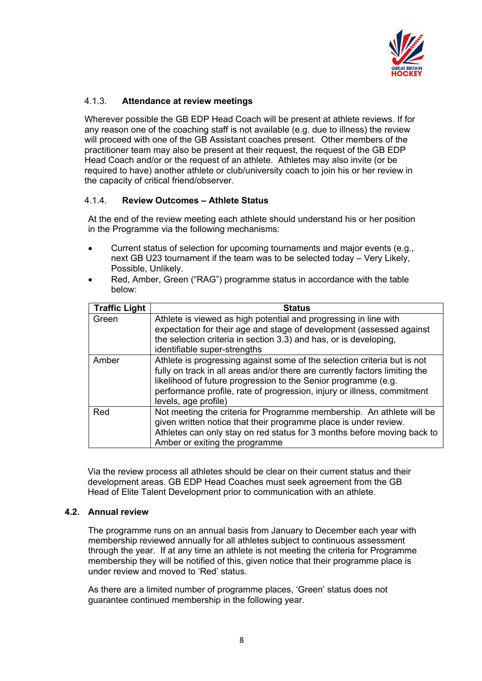

## 4.1.3. **Attendance at review meetings**

Wherever possible the GB EDP Head Coach will be present at athlete reviews. If for any reason one of the coaching staff is not available (e.g. due to illness) the review will proceed with one of the GB Assistant coaches present. Other members of the practitioner team may also be present at their request, the request of the GB EDP Head Coach and/or or the request of an athlete. Athletes may also invite (or be required to have) another athlete or club/university coach to join his or her review in the capacity of critical friend/observer.

## 4.1.4. **Review Outcomes – Athlete Status**

At the end of the review meeting each athlete should understand his or her position in the Programme via the following mechanisms:

- Current status of selection for upcoming tournaments and major events (e.g., next GB U23 tournament if the team was to be selected today – Very Likely, Possible, Unlikely.
- Red, Amber, Green ("RAG") programme status in accordance with the table below:

| <b>Traffic Light</b> | <b>Status</b>                                                                                                                                                                                                                                                                                                                |
|----------------------|------------------------------------------------------------------------------------------------------------------------------------------------------------------------------------------------------------------------------------------------------------------------------------------------------------------------------|
| Green                | Athlete is viewed as high potential and progressing in line with<br>expectation for their age and stage of development (assessed against<br>the selection criteria in section 3.3) and has, or is developing,<br>identifiable super-strengths                                                                                |
| Amber                | Athlete is progressing against some of the selection criteria but is not<br>fully on track in all areas and/or there are currently factors limiting the<br>likelihood of future progression to the Senior programme (e.g.<br>performance profile, rate of progression, injury or illness, commitment<br>levels, age profile) |
| Red                  | Not meeting the criteria for Programme membership. An athlete will be<br>given written notice that their programme place is under review.<br>Athletes can only stay on red status for 3 months before moving back to<br>Amber or exiting the programme                                                                       |

Via the review process all athletes should be clear on their current status and their development areas. GB EDP Head Coaches must seek agreement from the GB Head of Elite Talent Development prior to communication with an athlete.

## **4.2. Annual review**

The programme runs on an annual basis from January to December each year with membership reviewed annually for all athletes subject to continuous assessment through the year. If at any time an athlete is not meeting the criteria for Programme membership they will be notified of this, given notice that their programme place is under review and moved to 'Red' status.

As there are a limited number of programme places, 'Green' status does not guarantee continued membership in the following year.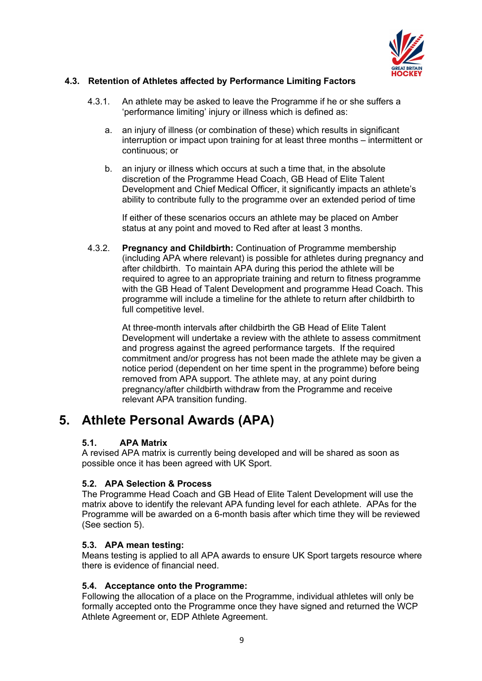

## **4.3. Retention of Athletes affected by Performance Limiting Factors**

- 4.3.1. An athlete may be asked to leave the Programme if he or she suffers a 'performance limiting' injury or illness which is defined as:
	- a. an injury of illness (or combination of these) which results in significant interruption or impact upon training for at least three months – intermittent or continuous; or
	- b. an injury or illness which occurs at such a time that, in the absolute discretion of the Programme Head Coach, GB Head of Elite Talent Development and Chief Medical Officer, it significantly impacts an athlete's ability to contribute fully to the programme over an extended period of time

If either of these scenarios occurs an athlete may be placed on Amber status at any point and moved to Red after at least 3 months.

4.3.2. **Pregnancy and Childbirth:** Continuation of Programme membership (including APA where relevant) is possible for athletes during pregnancy and after childbirth. To maintain APA during this period the athlete will be required to agree to an appropriate training and return to fitness programme with the GB Head of Talent Development and programme Head Coach. This programme will include a timeline for the athlete to return after childbirth to full competitive level.

> At three-month intervals after childbirth the GB Head of Elite Talent Development will undertake a review with the athlete to assess commitment and progress against the agreed performance targets. If the required commitment and/or progress has not been made the athlete may be given a notice period (dependent on her time spent in the programme) before being removed from APA support. The athlete may, at any point during pregnancy/after childbirth withdraw from the Programme and receive relevant APA transition funding.

## **5. Athlete Personal Awards (APA)**

## **5.1. APA Matrix**

A revised APA matrix is currently being developed and will be shared as soon as possible once it has been agreed with UK Sport.

## **5.2. APA Selection & Process**

The Programme Head Coach and GB Head of Elite Talent Development will use the matrix above to identify the relevant APA funding level for each athlete. APAs for the Programme will be awarded on a 6-month basis after which time they will be reviewed (See section 5).

## **5.3. APA mean testing:**

Means testing is applied to all APA awards to ensure UK Sport targets resource where there is evidence of financial need.

## **5.4. Acceptance onto the Programme:**

Following the allocation of a place on the Programme, individual athletes will only be formally accepted onto the Programme once they have signed and returned the WCP Athlete Agreement or, EDP Athlete Agreement.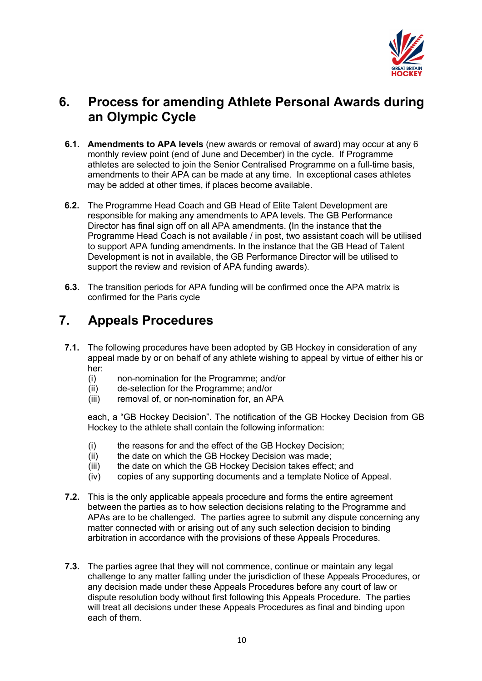

# **6. Process for amending Athlete Personal Awards during an Olympic Cycle**

- **6.1. Amendments to APA levels** (new awards or removal of award) may occur at any 6 monthly review point (end of June and December) in the cycle. If Programme athletes are selected to join the Senior Centralised Programme on a full-time basis, amendments to their APA can be made at any time. In exceptional cases athletes may be added at other times, if places become available.
- **6.2.** The Programme Head Coach and GB Head of Elite Talent Development are responsible for making any amendments to APA levels. The GB Performance Director has final sign off on all APA amendments. **(**In the instance that the Programme Head Coach is not available / in post, two assistant coach will be utilised to support APA funding amendments. In the instance that the GB Head of Talent Development is not in available, the GB Performance Director will be utilised to support the review and revision of APA funding awards).
- **6.3.** The transition periods for APA funding will be confirmed once the APA matrix is confirmed for the Paris cycle

## **7. Appeals Procedures**

- **7.1.** The following procedures have been adopted by GB Hockey in consideration of any appeal made by or on behalf of any athlete wishing to appeal by virtue of either his or her:
	- (i) non-nomination for the Programme; and/or
	- (ii) de-selection for the Programme; and/or
	- (iii) removal of, or non-nomination for, an APA

each, a "GB Hockey Decision". The notification of the GB Hockey Decision from GB Hockey to the athlete shall contain the following information:

- (i) the reasons for and the effect of the GB Hockey Decision;
- (ii) the date on which the GB Hockey Decision was made;
- (iii) the date on which the GB Hockey Decision takes effect; and
- (iv) copies of any supporting documents and a template Notice of Appeal.
- **7.2.** This is the only applicable appeals procedure and forms the entire agreement between the parties as to how selection decisions relating to the Programme and APAs are to be challenged. The parties agree to submit any dispute concerning any matter connected with or arising out of any such selection decision to binding arbitration in accordance with the provisions of these Appeals Procedures.
- **7.3.** The parties agree that they will not commence, continue or maintain any legal challenge to any matter falling under the jurisdiction of these Appeals Procedures, or any decision made under these Appeals Procedures before any court of law or dispute resolution body without first following this Appeals Procedure. The parties will treat all decisions under these Appeals Procedures as final and binding upon each of them.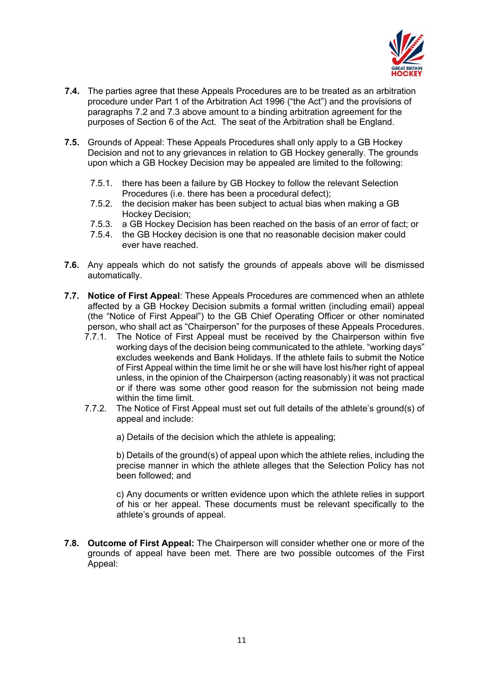

- **7.4.** The parties agree that these Appeals Procedures are to be treated as an arbitration procedure under Part 1 of the Arbitration Act 1996 ("the Act") and the provisions of paragraphs 7.2 and 7.3 above amount to a binding arbitration agreement for the purposes of Section 6 of the Act. The seat of the Arbitration shall be England.
- **7.5.** Grounds of Appeal: These Appeals Procedures shall only apply to a GB Hockey Decision and not to any grievances in relation to GB Hockey generally. The grounds upon which a GB Hockey Decision may be appealed are limited to the following:
	- 7.5.1. there has been a failure by GB Hockey to follow the relevant Selection Procedures (i.e. there has been a procedural defect);
	- 7.5.2. the decision maker has been subject to actual bias when making a GB Hockey Decision;
	- 7.5.3. a GB Hockey Decision has been reached on the basis of an error of fact; or
	- 7.5.4. the GB Hockey decision is one that no reasonable decision maker could ever have reached.
- **7.6.** Any appeals which do not satisfy the grounds of appeals above will be dismissed automatically.
- **7.7. Notice of First Appeal**: These Appeals Procedures are commenced when an athlete affected by a GB Hockey Decision submits a formal written (including email) appeal (the "Notice of First Appeal") to the GB Chief Operating Officer or other nominated person, who shall act as "Chairperson" for the purposes of these Appeals Procedures.
	- 7.7.1. The Notice of First Appeal must be received by the Chairperson within five working days of the decision being communicated to the athlete. "working days" excludes weekends and Bank Holidays. If the athlete fails to submit the Notice of First Appeal within the time limit he or she will have lost his/her right of appeal unless, in the opinion of the Chairperson (acting reasonably) it was not practical or if there was some other good reason for the submission not being made within the time limit.
	- 7.7.2. The Notice of First Appeal must set out full details of the athlete's ground(s) of appeal and include:

a) Details of the decision which the athlete is appealing;

b) Details of the ground(s) of appeal upon which the athlete relies, including the precise manner in which the athlete alleges that the Selection Policy has not been followed; and

c) Any documents or written evidence upon which the athlete relies in support of his or her appeal. These documents must be relevant specifically to the athlete's grounds of appeal.

**7.8. Outcome of First Appeal:** The Chairperson will consider whether one or more of the grounds of appeal have been met. There are two possible outcomes of the First Appeal: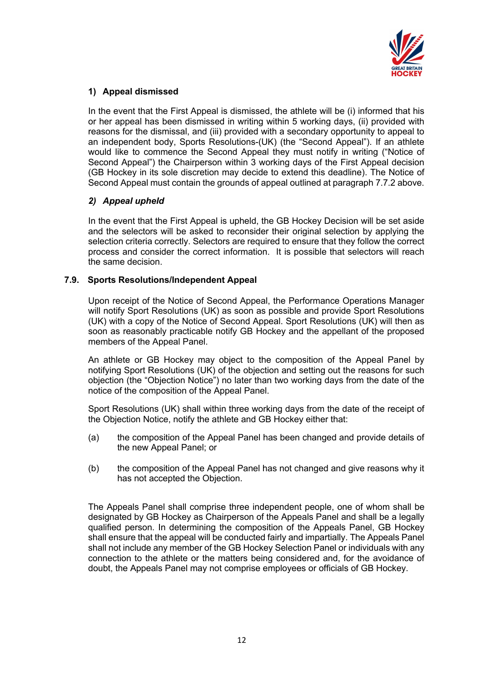

## **1) Appeal dismissed**

In the event that the First Appeal is dismissed, the athlete will be (i) informed that his or her appeal has been dismissed in writing within 5 working days, (ii) provided with reasons for the dismissal, and (iii) provided with a secondary opportunity to appeal to an independent body, Sports Resolutions-(UK) (the "Second Appeal"). If an athlete would like to commence the Second Appeal they must notify in writing ("Notice of Second Appeal") the Chairperson within 3 working days of the First Appeal decision (GB Hockey in its sole discretion may decide to extend this deadline). The Notice of Second Appeal must contain the grounds of appeal outlined at paragraph 7.7.2 above.

## *2) Appeal upheld*

In the event that the First Appeal is upheld, the GB Hockey Decision will be set aside and the selectors will be asked to reconsider their original selection by applying the selection criteria correctly. Selectors are required to ensure that they follow the correct process and consider the correct information. It is possible that selectors will reach the same decision.

## **7.9. Sports Resolutions/Independent Appeal**

Upon receipt of the Notice of Second Appeal, the Performance Operations Manager will notify Sport Resolutions (UK) as soon as possible and provide Sport Resolutions (UK) with a copy of the Notice of Second Appeal. Sport Resolutions (UK) will then as soon as reasonably practicable notify GB Hockey and the appellant of the proposed members of the Appeal Panel.

An athlete or GB Hockey may object to the composition of the Appeal Panel by notifying Sport Resolutions (UK) of the objection and setting out the reasons for such objection (the "Objection Notice") no later than two working days from the date of the notice of the composition of the Appeal Panel.

Sport Resolutions (UK) shall within three working days from the date of the receipt of the Objection Notice, notify the athlete and GB Hockey either that:

- (a) the composition of the Appeal Panel has been changed and provide details of the new Appeal Panel; or
- (b) the composition of the Appeal Panel has not changed and give reasons why it has not accepted the Objection.

The Appeals Panel shall comprise three independent people, one of whom shall be designated by GB Hockey as Chairperson of the Appeals Panel and shall be a legally qualified person. In determining the composition of the Appeals Panel, GB Hockey shall ensure that the appeal will be conducted fairly and impartially. The Appeals Panel shall not include any member of the GB Hockey Selection Panel or individuals with any connection to the athlete or the matters being considered and, for the avoidance of doubt, the Appeals Panel may not comprise employees or officials of GB Hockey.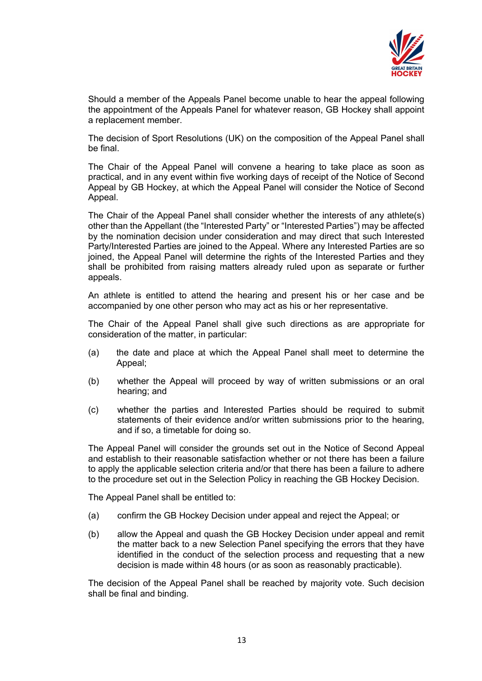

Should a member of the Appeals Panel become unable to hear the appeal following the appointment of the Appeals Panel for whatever reason, GB Hockey shall appoint a replacement member.

The decision of Sport Resolutions (UK) on the composition of the Appeal Panel shall be final.

The Chair of the Appeal Panel will convene a hearing to take place as soon as practical, and in any event within five working days of receipt of the Notice of Second Appeal by GB Hockey, at which the Appeal Panel will consider the Notice of Second Appeal.

The Chair of the Appeal Panel shall consider whether the interests of any athlete(s) other than the Appellant (the "Interested Party" or "Interested Parties") may be affected by the nomination decision under consideration and may direct that such Interested Party/Interested Parties are joined to the Appeal. Where any Interested Parties are so joined, the Appeal Panel will determine the rights of the Interested Parties and they shall be prohibited from raising matters already ruled upon as separate or further appeals.

An athlete is entitled to attend the hearing and present his or her case and be accompanied by one other person who may act as his or her representative.

The Chair of the Appeal Panel shall give such directions as are appropriate for consideration of the matter, in particular:

- (a) the date and place at which the Appeal Panel shall meet to determine the Appeal;
- (b) whether the Appeal will proceed by way of written submissions or an oral hearing; and
- (c) whether the parties and Interested Parties should be required to submit statements of their evidence and/or written submissions prior to the hearing, and if so, a timetable for doing so.

The Appeal Panel will consider the grounds set out in the Notice of Second Appeal and establish to their reasonable satisfaction whether or not there has been a failure to apply the applicable selection criteria and/or that there has been a failure to adhere to the procedure set out in the Selection Policy in reaching the GB Hockey Decision.

The Appeal Panel shall be entitled to:

- (a) confirm the GB Hockey Decision under appeal and reject the Appeal; or
- (b) allow the Appeal and quash the GB Hockey Decision under appeal and remit the matter back to a new Selection Panel specifying the errors that they have identified in the conduct of the selection process and requesting that a new decision is made within 48 hours (or as soon as reasonably practicable).

The decision of the Appeal Panel shall be reached by majority vote. Such decision shall be final and binding.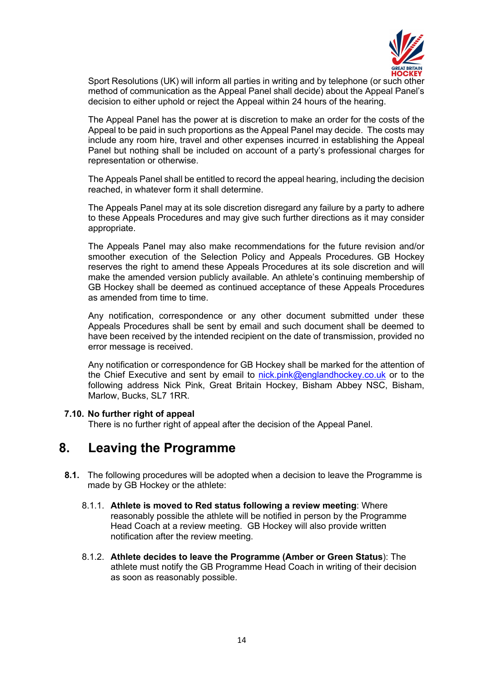

Sport Resolutions (UK) will inform all parties in writing and by telephone (or such other method of communication as the Appeal Panel shall decide) about the Appeal Panel's decision to either uphold or reject the Appeal within 24 hours of the hearing.

The Appeal Panel has the power at is discretion to make an order for the costs of the Appeal to be paid in such proportions as the Appeal Panel may decide. The costs may include any room hire, travel and other expenses incurred in establishing the Appeal Panel but nothing shall be included on account of a party's professional charges for representation or otherwise.

The Appeals Panel shall be entitled to record the appeal hearing, including the decision reached, in whatever form it shall determine.

The Appeals Panel may at its sole discretion disregard any failure by a party to adhere to these Appeals Procedures and may give such further directions as it may consider appropriate.

The Appeals Panel may also make recommendations for the future revision and/or smoother execution of the Selection Policy and Appeals Procedures. GB Hockey reserves the right to amend these Appeals Procedures at its sole discretion and will make the amended version publicly available. An athlete's continuing membership of GB Hockey shall be deemed as continued acceptance of these Appeals Procedures as amended from time to time.

Any notification, correspondence or any other document submitted under these Appeals Procedures shall be sent by email and such document shall be deemed to have been received by the intended recipient on the date of transmission, provided no error message is received.

Any notification or correspondence for GB Hockey shall be marked for the attention of the Chief Executive and sent by email to nick.pink@englandhockey.co.uk or to the following address Nick Pink, Great Britain Hockey, Bisham Abbey NSC, Bisham, Marlow, Bucks, SL7 1RR.

#### **7.10. No further right of appeal**

There is no further right of appeal after the decision of the Appeal Panel.

## **8. Leaving the Programme**

- **8.1.** The following procedures will be adopted when a decision to leave the Programme is made by GB Hockey or the athlete:
	- 8.1.1. **Athlete is moved to Red status following a review meeting**: Where reasonably possible the athlete will be notified in person by the Programme Head Coach at a review meeting. GB Hockey will also provide written notification after the review meeting.
	- 8.1.2. **Athlete decides to leave the Programme (Amber or Green Status**): The athlete must notify the GB Programme Head Coach in writing of their decision as soon as reasonably possible.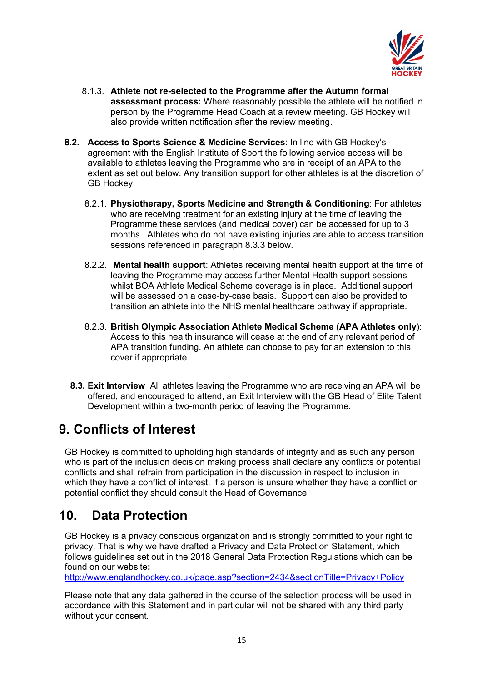

- 8.1.3. **Athlete not re-selected to the Programme after the Autumn formal assessment process:** Where reasonably possible the athlete will be notified in person by the Programme Head Coach at a review meeting. GB Hockey will also provide written notification after the review meeting.
- **8.2. Access to Sports Science & Medicine Services**: In line with GB Hockey's agreement with the English Institute of Sport the following service access will be available to athletes leaving the Programme who are in receipt of an APA to the extent as set out below. Any transition support for other athletes is at the discretion of GB Hockey.
	- 8.2.1. **Physiotherapy, Sports Medicine and Strength & Conditioning**: For athletes who are receiving treatment for an existing injury at the time of leaving the Programme these services (and medical cover) can be accessed for up to 3 months. Athletes who do not have existing injuries are able to access transition sessions referenced in paragraph 8.3.3 below.
	- 8.2.2. **Mental health support**: Athletes receiving mental health support at the time of leaving the Programme may access further Mental Health support sessions whilst BOA Athlete Medical Scheme coverage is in place. Additional support will be assessed on a case-by-case basis. Support can also be provided to transition an athlete into the NHS mental healthcare pathway if appropriate.
	- 8.2.3. **British Olympic Association Athlete Medical Scheme (APA Athletes only**): Access to this health insurance will cease at the end of any relevant period of APA transition funding. An athlete can choose to pay for an extension to this cover if appropriate.
	- **8.3. Exit Interview** All athletes leaving the Programme who are receiving an APA will be offered, and encouraged to attend, an Exit Interview with the GB Head of Elite Talent Development within a two-month period of leaving the Programme.

# **9. Conflicts of Interest**

GB Hockey is committed to upholding high standards of integrity and as such any person who is part of the inclusion decision making process shall declare any conflicts or potential conflicts and shall refrain from participation in the discussion in respect to inclusion in which they have a conflict of interest. If a person is unsure whether they have a conflict or potential conflict they should consult the Head of Governance.

# **10. Data Protection**

GB Hockey is a privacy conscious organization and is strongly committed to your right to privacy. That is why we have drafted a Privacy and Data Protection Statement, which follows guidelines set out in the 2018 General Data Protection Regulations which can be found on our website**:** 

http://www.englandhockey.co.uk/page.asp?section=2434&sectionTitle=Privacy+Policy

Please note that any data gathered in the course of the selection process will be used in accordance with this Statement and in particular will not be shared with any third party without your consent.